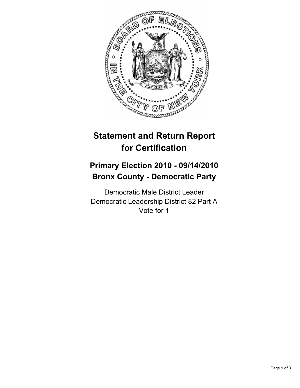

## **Statement and Return Report for Certification**

## **Primary Election 2010 - 09/14/2010 Bronx County - Democratic Party**

Democratic Male District Leader Democratic Leadership District 82 Part A Vote for 1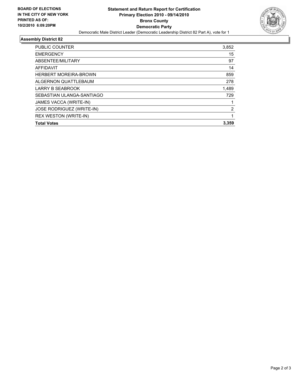

## **Assembly District 82**

| <b>PUBLIC COUNTER</b>            | 3,852          |
|----------------------------------|----------------|
| <b>EMERGENCY</b>                 | 15             |
| ABSENTEE/MILITARY                | 97             |
| <b>AFFIDAVIT</b>                 | 14             |
| <b>HERBERT MOREIRA-BROWN</b>     | 859            |
| ALGERNON QUATTLEBAUM             | 278            |
| <b>LARRY B SEABROOK</b>          | 1,489          |
| SEBASTIAN ULANGA-SANTIAGO        | 729            |
| JAMES VACCA (WRITE-IN)           |                |
| <b>JOSE RODRIGUEZ (WRITE-IN)</b> | $\overline{2}$ |
| <b>REX WESTON (WRITE-IN)</b>     | 1              |
| <b>Total Votes</b>               | 3.359          |
|                                  |                |